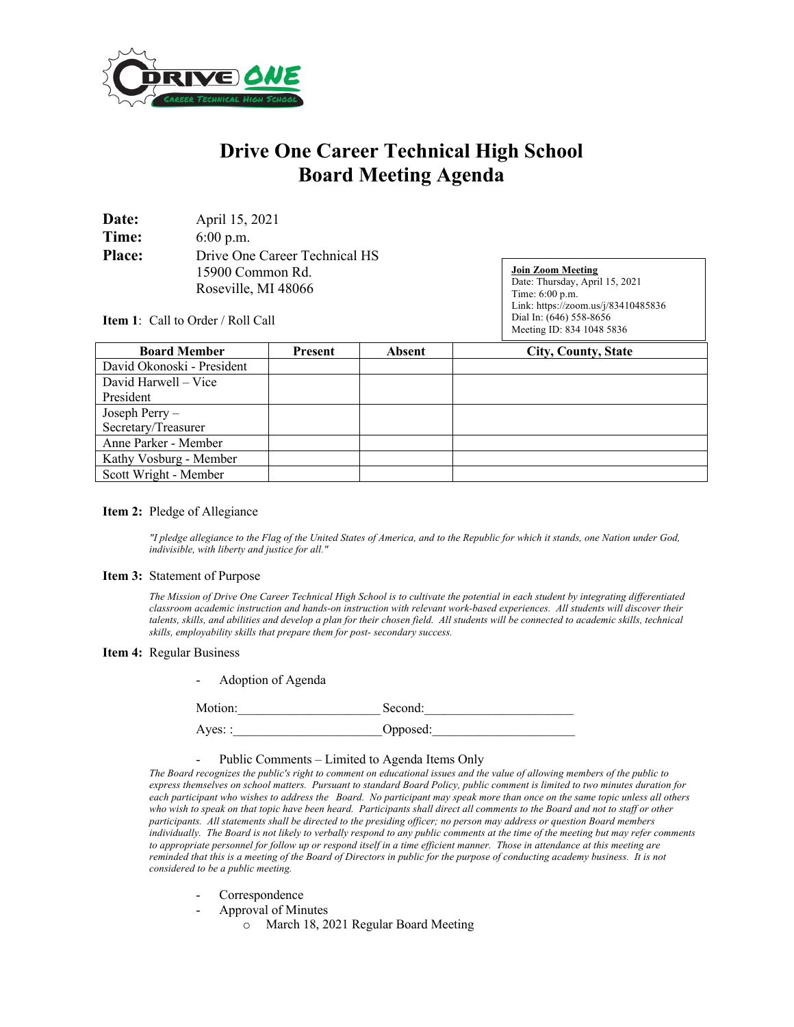

# **Drive One Career Technical High School Board Meeting Agenda**

| Date:         | April 15, 2021                |
|---------------|-------------------------------|
| Time:         | $6:00$ p.m.                   |
| <b>Place:</b> | Drive One Career Technical HS |
|               | 15900 Common Rd.              |
|               | Roseville, MI 48066           |

**Join Zoom Meeting** Date: Thursday, April 15, 2021 Time: 6:00 p.m. Link: https://zoom.us/j/83410485836 Dial In: (646) 558-8656 Meeting ID: 834 1048 5836

**Item 1**: Call to Order / Roll Call

| <b>Board Member</b>        | Present | <b>Absent</b> | <b>City, County, State</b> |
|----------------------------|---------|---------------|----------------------------|
| David Okonoski - President |         |               |                            |
| David Harwell – Vice       |         |               |                            |
| President                  |         |               |                            |
| Joseph Perry-              |         |               |                            |
| Secretary/Treasurer        |         |               |                            |
| Anne Parker - Member       |         |               |                            |
| Kathy Vosburg - Member     |         |               |                            |
| Scott Wright - Member      |         |               |                            |

### **Item 2:** Pledge of Allegiance

*"I pledge allegiance to the Flag of the United States of America, and to the Republic for which it stands, one Nation under God, indivisible, with liberty and justice for all."* 

#### **Item 3:** Statement of Purpose

*The Mission of Drive One Career Technical High School is to cultivate the potential in each student by integrating differentiated classroom academic instruction and hands-on instruction with relevant work-based experiences. All students will discover their talents, skills, and abilities and develop a plan for their chosen field. All students will be connected to academic skills, technical skills, employability skills that prepare them for post- secondary success.*

#### **Item 4:** Regular Business

|  | Adoption of Agenda |  |
|--|--------------------|--|
|--|--------------------|--|

Motion: Second:

Ayes: : 0pposed:

#### - Public Comments – Limited to Agenda Items Only

*The Board recognizes the public's right to comment on educational issues and the value of allowing members of the public to express themselves on school matters. Pursuant to standard Board Policy, public comment is limited to two minutes duration for each participant who wishes to address the Board. No participant may speak more than once on the same topic unless all others who wish to speak on that topic have been heard. Participants shall direct all comments to the Board and not to staff or other participants. All statements shall be directed to the presiding officer; no person may address or question Board members individually. The Board is not likely to verbally respond to any public comments at the time of the meeting but may refer comments to appropriate personnel for follow up or respond itself in a time efficient manner. Those in attendance at this meeting are reminded that this is a meeting of the Board of Directors in public for the purpose of conducting academy business. It is not considered to be a public meeting.*

- Correspondence
- Approval of Minutes
	- o March 18, 2021 Regular Board Meeting